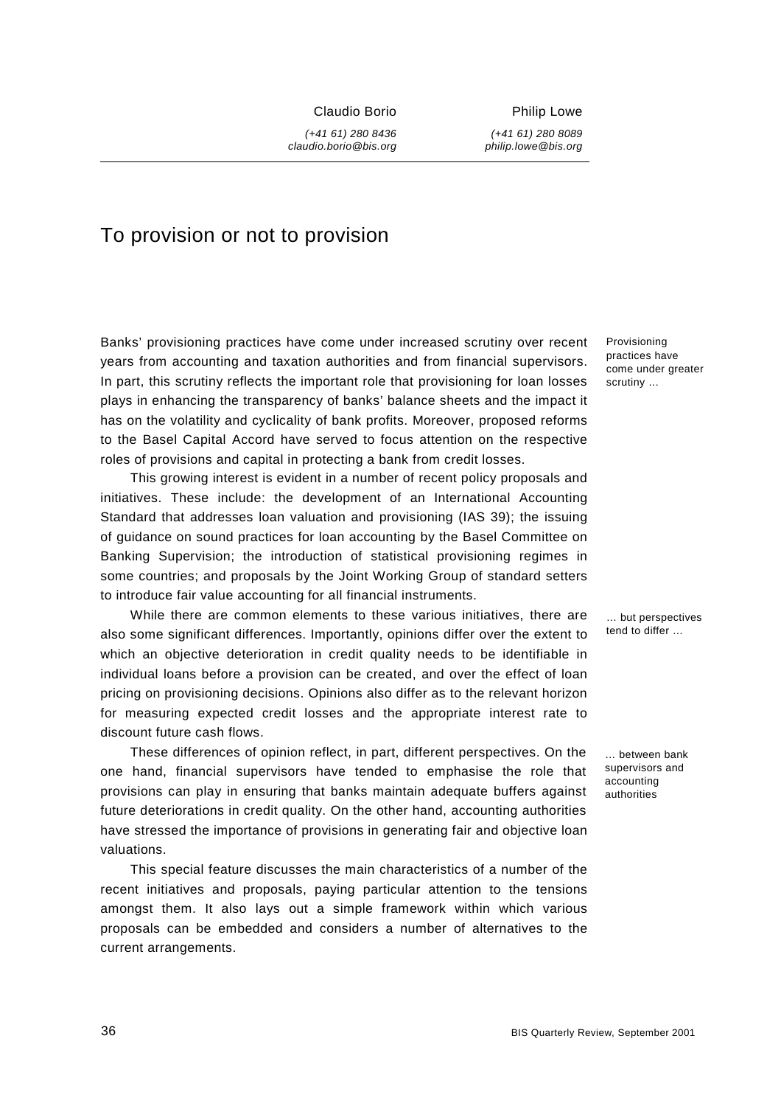Claudio Borio

*(+41 61) 280 8436 claudio.borio@bis.org*  Philip Lowe

*(+41 61) 280 8089 philip.lowe@bis.org* 

# To provision or not to provision

Banks' provisioning practices have come under increased scrutiny over recent years from accounting and taxation authorities and from financial supervisors. In part, this scrutiny reflects the important role that provisioning for loan losses plays in enhancing the transparency of banks' balance sheets and the impact it has on the volatility and cyclicality of bank profits. Moreover, proposed reforms to the Basel Capital Accord have served to focus attention on the respective roles of provisions and capital in protecting a bank from credit losses.

This growing interest is evident in a number of recent policy proposals and initiatives. These include: the development of an International Accounting Standard that addresses loan valuation and provisioning (IAS 39); the issuing of guidance on sound practices for loan accounting by the Basel Committee on Banking Supervision; the introduction of statistical provisioning regimes in some countries; and proposals by the Joint Working Group of standard setters to introduce fair value accounting for all financial instruments.

While there are common elements to these various initiatives, there are also some significant differences. Importantly, opinions differ over the extent to which an objective deterioration in credit quality needs to be identifiable in individual loans before a provision can be created, and over the effect of loan pricing on provisioning decisions. Opinions also differ as to the relevant horizon for measuring expected credit losses and the appropriate interest rate to discount future cash flows.

These differences of opinion reflect, in part, different perspectives. On the one hand, financial supervisors have tended to emphasise the role that provisions can play in ensuring that banks maintain adequate buffers against future deteriorations in credit quality. On the other hand, accounting authorities have stressed the importance of provisions in generating fair and objective loan valuations.

This special feature discusses the main characteristics of a number of the recent initiatives and proposals, paying particular attention to the tensions amongst them. It also lays out a simple framework within which various proposals can be embedded and considers a number of alternatives to the current arrangements.

Provisioning practices have come under greater scrutiny …

… but perspectives tend to differ …

… between bank supervisors and accounting authorities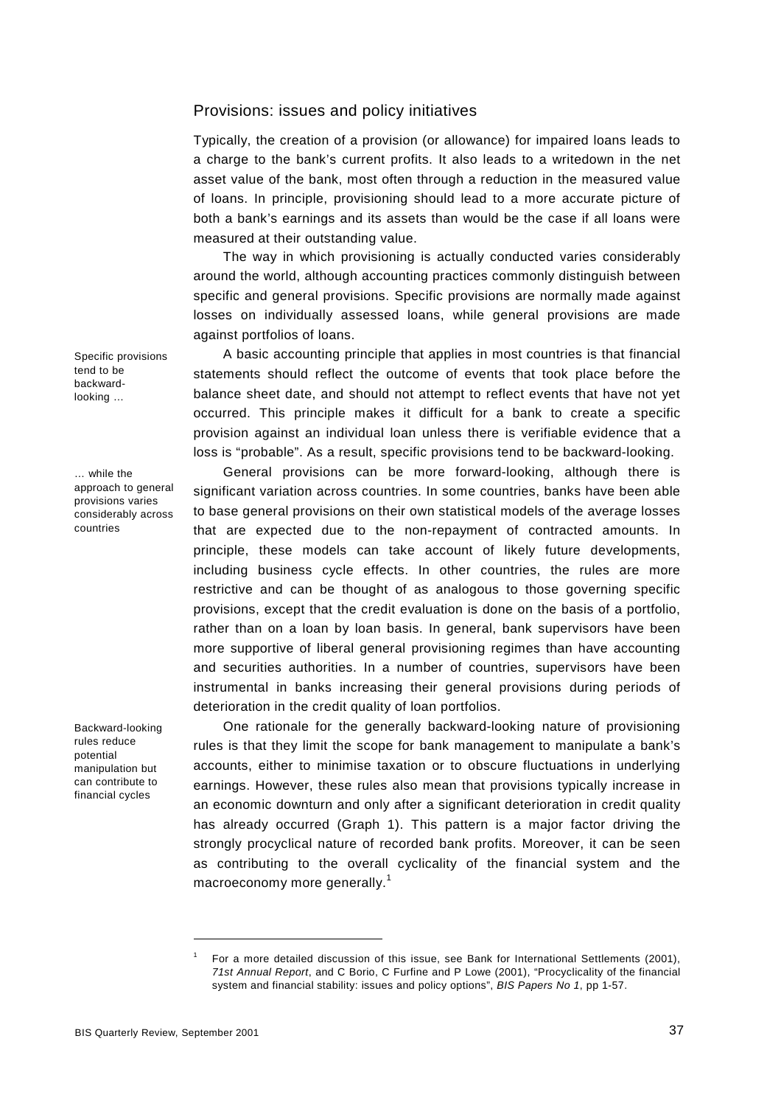## Provisions: issues and policy initiatives

Typically, the creation of a provision (or allowance) for impaired loans leads to a charge to the bank's current profits. It also leads to a writedown in the net asset value of the bank, most often through a reduction in the measured value of loans. In principle, provisioning should lead to a more accurate picture of both a bank's earnings and its assets than would be the case if all loans were measured at their outstanding value.

The way in which provisioning is actually conducted varies considerably around the world, although accounting practices commonly distinguish between specific and general provisions. Specific provisions are normally made against losses on individually assessed loans, while general provisions are made against portfolios of loans.

A basic accounting principle that applies in most countries is that financial statements should reflect the outcome of events that took place before the balance sheet date, and should not attempt to reflect events that have not yet occurred. This principle makes it difficult for a bank to create a specific provision against an individual loan unless there is verifiable evidence that a loss is "probable". As a result, specific provisions tend to be backward-looking.

General provisions can be more forward-looking, although there is significant variation across countries. In some countries, banks have been able to base general provisions on their own statistical models of the average losses that are expected due to the non-repayment of contracted amounts. In principle, these models can take account of likely future developments, including business cycle effects. In other countries, the rules are more restrictive and can be thought of as analogous to those governing specific provisions, except that the credit evaluation is done on the basis of a portfolio, rather than on a loan by loan basis. In general, bank supervisors have been more supportive of liberal general provisioning regimes than have accounting and securities authorities. In a number of countries, supervisors have been instrumental in banks increasing their general provisions during periods of deterioration in the credit quality of loan portfolios.

One rationale for the generally backward-looking nature of provisioning rules is that they limit the scope for bank management to manipulate a bank's accounts, either to minimise taxation or to obscure fluctuations in underlying earnings. However, these rules also mean that provisions typically increase in an economic downturn and only after a significant deterioration in credit quality has already occurred (Graph 1). This pattern is a major factor driving the strongly procyclical nature of recorded bank profits. Moreover, it can be seen as contributing to the overall cyclicality of the financial system and the macroeconomy more generally.<sup>1</sup>

Specific provisions tend to be backwardlooking …

… while the approach to general provisions varies considerably across countries

Backward-looking rules reduce potential manipulation but can contribute to financial cycles

<sup>1</sup> For a more detailed discussion of this issue, see Bank for International Settlements (2001), *71st Annual Report*, and C Borio, C Furfine and P Lowe (2001), "Procyclicality of the financial system and financial stability: issues and policy options", *BIS Papers No 1*, pp 1-57.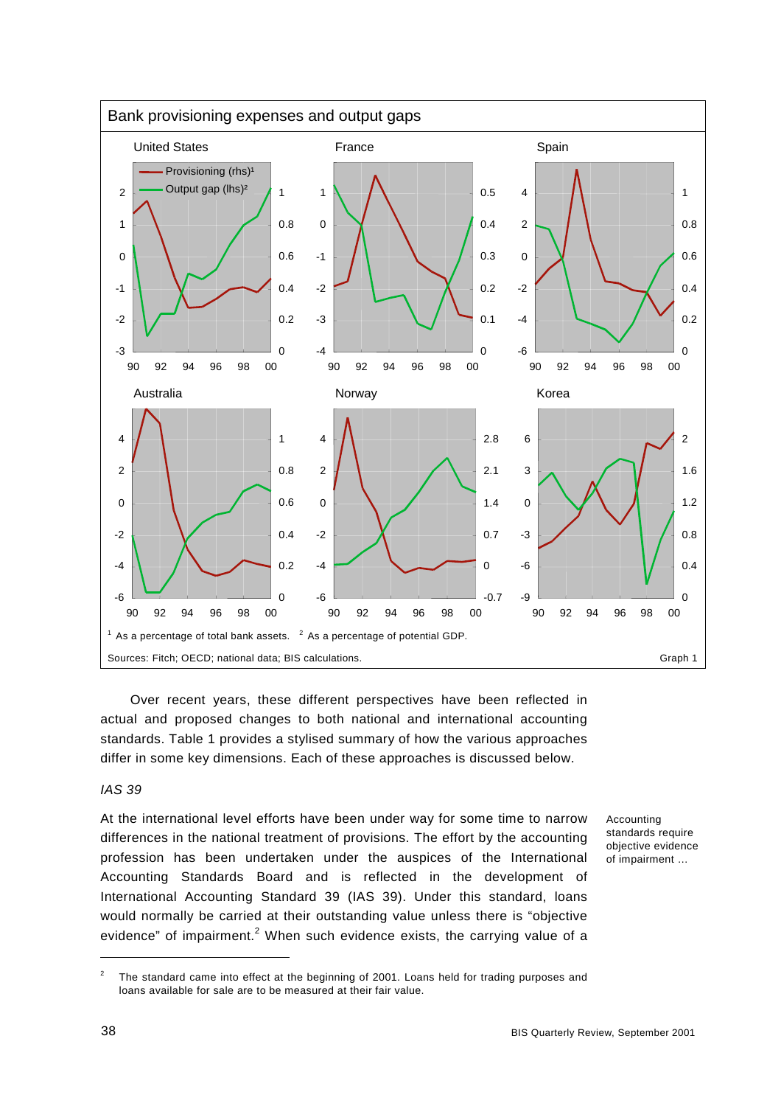

Over recent years, these different perspectives have been reflected in actual and proposed changes to both national and international accounting standards. Table 1 provides a stylised summary of how the various approaches differ in some key dimensions. Each of these approaches is discussed below.

## *IAS 39*

At the international level efforts have been under way for some time to narrow differences in the national treatment of provisions. The effort by the accounting profession has been undertaken under the auspices of the International Accounting Standards Board and is reflected in the development of International Accounting Standard 39 (IAS 39). Under this standard, loans would normally be carried at their outstanding value unless there is "objective evidence" of impairment.<sup>2</sup> When such evidence exists, the carrying value of a

Accounting standards require objective evidence of impairment …

<sup>2</sup> The standard came into effect at the beginning of 2001. Loans held for trading purposes and loans available for sale are to be measured at their fair value.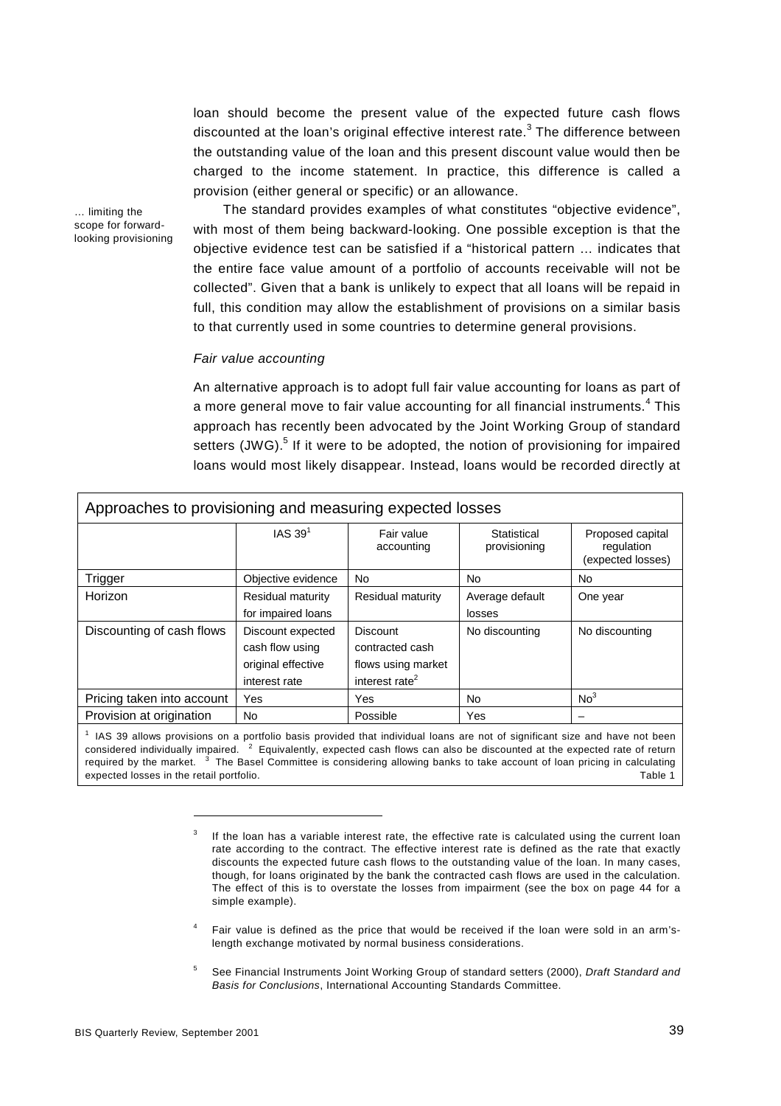loan should become the present value of the expected future cash flows discounted at the loan's original effective interest rate.<sup>3</sup> The difference between the outstanding value of the loan and this present discount value would then be charged to the income statement. In practice, this difference is called a provision (either general or specific) or an allowance.

… limiting the scope for forwardlooking provisioning

The standard provides examples of what constitutes "objective evidence", with most of them being backward-looking. One possible exception is that the objective evidence test can be satisfied if a "historical pattern … indicates that the entire face value amount of a portfolio of accounts receivable will not be collected". Given that a bank is unlikely to expect that all loans will be repaid in full, this condition may allow the establishment of provisions on a similar basis to that currently used in some countries to determine general provisions.

#### *Fair value accounting*

An alternative approach is to adopt full fair value accounting for loans as part of a more general move to fair value accounting for all financial instruments. $^4$  This approach has recently been advocated by the Joint Working Group of standard setters (JWG).<sup>5</sup> If it were to be adopted, the notion of provisioning for impaired loans would most likely disappear. Instead, loans would be recorded directly at

| Approaches to provisioning and measuring expected losses |                                                                             |                                                                                        |                             |                                                     |
|----------------------------------------------------------|-----------------------------------------------------------------------------|----------------------------------------------------------------------------------------|-----------------------------|-----------------------------------------------------|
|                                                          | IAS $391$                                                                   | Fair value<br>accounting                                                               | Statistical<br>provisioning | Proposed capital<br>regulation<br>(expected losses) |
| Trigger                                                  | Objective evidence                                                          | No.                                                                                    | No.                         | <b>No</b>                                           |
| Horizon                                                  | Residual maturity<br>for impaired loans                                     | Residual maturity                                                                      | Average default<br>losses   | One year                                            |
| Discounting of cash flows                                | Discount expected<br>cash flow using<br>original effective<br>interest rate | <b>Discount</b><br>contracted cash<br>flows using market<br>interest rate <sup>2</sup> | No discounting              | No discounting                                      |
| Pricing taken into account                               | Yes                                                                         | Yes                                                                                    | No                          | No <sup>3</sup>                                     |
| Provision at origination                                 | No                                                                          | Possible                                                                               | Yes                         |                                                     |

<sup>1</sup> IAS 39 allows provisions on a portfolio basis provided that individual loans are not of significant size and have not been considered individually impaired. <sup>2</sup> Equivalently, expected cash flows can also be discounted at the expected rate of return required by the market.  $3$  The Basel Committee is considering allowing banks to take account of loan pricing in calculating expected losses in the retail portfolio. Table 1

- 4 Fair value is defined as the price that would be received if the loan were sold in an arm'slength exchange motivated by normal business considerations.
- 5 See Financial Instruments Joint Working Group of standard setters (2000), *Draft Standard and Basis for Conclusions*, International Accounting Standards Committee.

<sup>3</sup> If the loan has a variable interest rate, the effective rate is calculated using the current loan rate according to the contract. The effective interest rate is defined as the rate that exactly discounts the expected future cash flows to the outstanding value of the loan. In many cases, though, for loans originated by the bank the contracted cash flows are used in the calculation. The effect of this is to overstate the losses from impairment (see the box on page 44 for a simple example).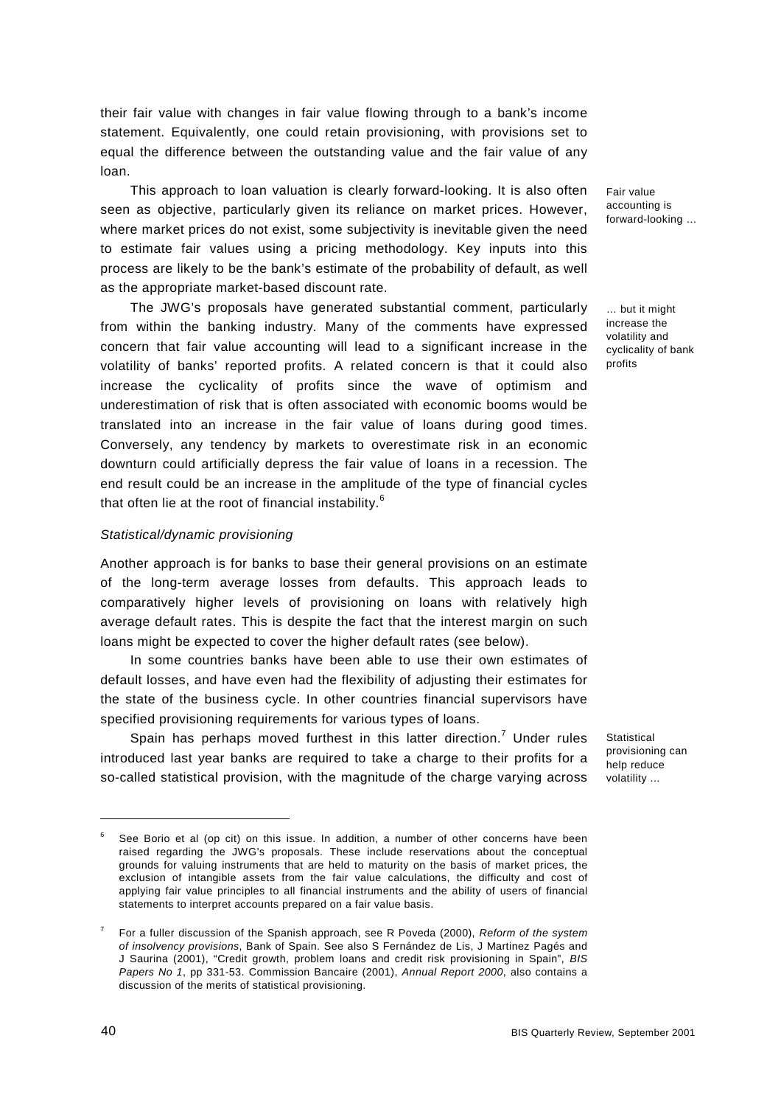their fair value with changes in fair value flowing through to a bank's income statement. Equivalently, one could retain provisioning, with provisions set to equal the difference between the outstanding value and the fair value of any loan.

This approach to loan valuation is clearly forward-looking. It is also often seen as objective, particularly given its reliance on market prices. However, where market prices do not exist, some subjectivity is inevitable given the need to estimate fair values using a pricing methodology. Key inputs into this process are likely to be the bank's estimate of the probability of default, as well as the appropriate market-based discount rate.

The JWG's proposals have generated substantial comment, particularly from within the banking industry. Many of the comments have expressed concern that fair value accounting will lead to a significant increase in the volatility of banks' reported profits. A related concern is that it could also increase the cyclicality of profits since the wave of optimism and underestimation of risk that is often associated with economic booms would be translated into an increase in the fair value of loans during good times. Conversely, any tendency by markets to overestimate risk in an economic downturn could artificially depress the fair value of loans in a recession. The end result could be an increase in the amplitude of the type of financial cycles that often lie at the root of financial instability.<sup>6</sup>

#### *Statistical/dynamic provisioning*

Another approach is for banks to base their general provisions on an estimate of the long-term average losses from defaults. This approach leads to comparatively higher levels of provisioning on loans with relatively high average default rates. This is despite the fact that the interest margin on such loans might be expected to cover the higher default rates (see below).

In some countries banks have been able to use their own estimates of default losses, and have even had the flexibility of adjusting their estimates for the state of the business cycle. In other countries financial supervisors have specified provisioning requirements for various types of loans.

Spain has perhaps moved furthest in this latter direction.<sup>7</sup> Under rules introduced last year banks are required to take a charge to their profits for a so-called statistical provision, with the magnitude of the charge varying across Fair value accounting is forward-looking …

… but it might increase the volatility and cyclicality of bank profits

**Statistical** provisioning can help reduce volatility ...

<sup>6</sup> See Borio et al (op cit) on this issue. In addition, a number of other concerns have been raised regarding the JWG's proposals. These include reservations about the conceptual grounds for valuing instruments that are held to maturity on the basis of market prices, the exclusion of intangible assets from the fair value calculations, the difficulty and cost of applying fair value principles to all financial instruments and the ability of users of financial statements to interpret accounts prepared on a fair value basis.

<sup>7</sup> For a fuller discussion of the Spanish approach, see R Poveda (2000), *Reform of the system of insolvency provisions*, Bank of Spain. See also S Fernández de Lis, J Martinez Pagés and J Saurina (2001), "Credit growth, problem loans and credit risk provisioning in Spain", *BIS Papers No 1*, pp 331-53. Commission Bancaire (2001), *Annual Report 2000*, also contains a discussion of the merits of statistical provisioning.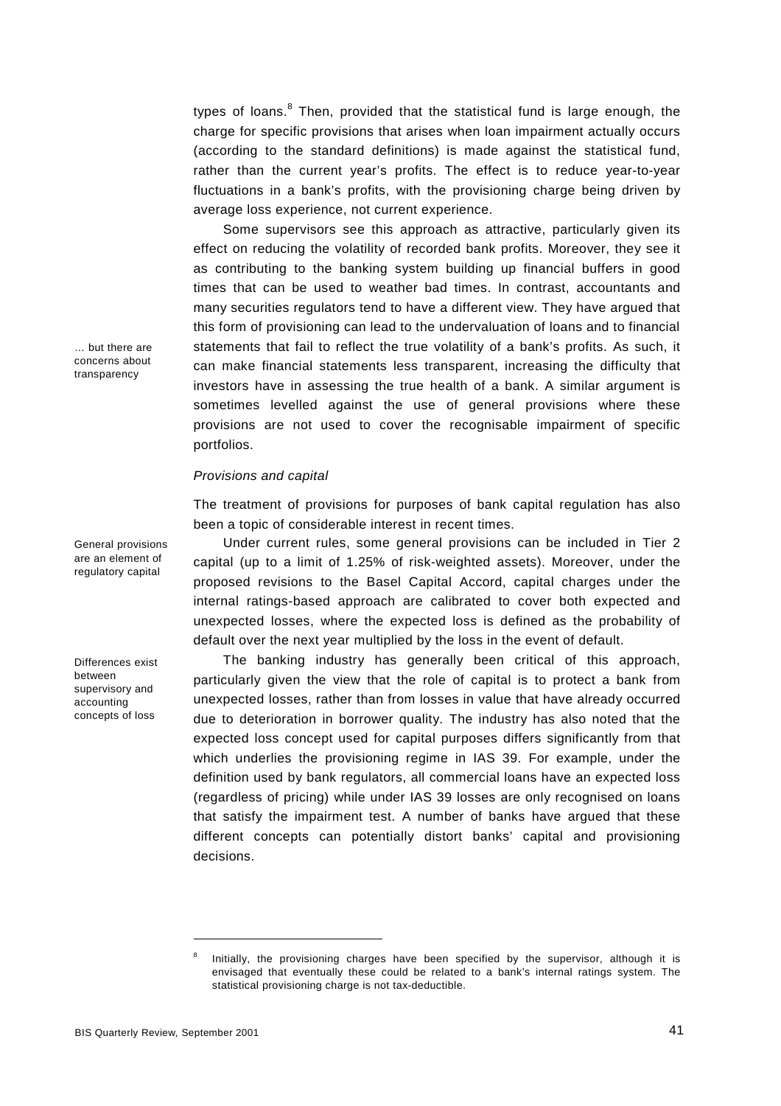types of loans.<sup>8</sup> Then, provided that the statistical fund is large enough, the charge for specific provisions that arises when loan impairment actually occurs (according to the standard definitions) is made against the statistical fund, rather than the current year's profits. The effect is to reduce year-to-year fluctuations in a bank's profits, with the provisioning charge being driven by average loss experience, not current experience.

Some supervisors see this approach as attractive, particularly given its effect on reducing the volatility of recorded bank profits. Moreover, they see it as contributing to the banking system building up financial buffers in good times that can be used to weather bad times. In contrast, accountants and many securities regulators tend to have a different view. They have argued that this form of provisioning can lead to the undervaluation of loans and to financial statements that fail to reflect the true volatility of a bank's profits. As such, it can make financial statements less transparent, increasing the difficulty that investors have in assessing the true health of a bank. A similar argument is sometimes levelled against the use of general provisions where these provisions are not used to cover the recognisable impairment of specific portfolios.

## *Provisions and capital*

The treatment of provisions for purposes of bank capital regulation has also been a topic of considerable interest in recent times.

Under current rules, some general provisions can be included in Tier 2 capital (up to a limit of 1.25% of risk-weighted assets). Moreover, under the proposed revisions to the Basel Capital Accord, capital charges under the internal ratings-based approach are calibrated to cover both expected and unexpected losses, where the expected loss is defined as the probability of default over the next year multiplied by the loss in the event of default.

The banking industry has generally been critical of this approach, particularly given the view that the role of capital is to protect a bank from unexpected losses, rather than from losses in value that have already occurred due to deterioration in borrower quality. The industry has also noted that the expected loss concept used for capital purposes differs significantly from that which underlies the provisioning regime in IAS 39. For example, under the definition used by bank regulators, all commercial loans have an expected loss (regardless of pricing) while under IAS 39 losses are only recognised on loans that satisfy the impairment test. A number of banks have argued that these different concepts can potentially distort banks' capital and provisioning decisions.

… but there are concerns about transparency

General provisions are an element of regulatory capital

Differences exist between supervisory and accounting concepts of loss

<sup>8</sup> Initially, the provisioning charges have been specified by the supervisor, although it is envisaged that eventually these could be related to a bank's internal ratings system. The statistical provisioning charge is not tax-deductible.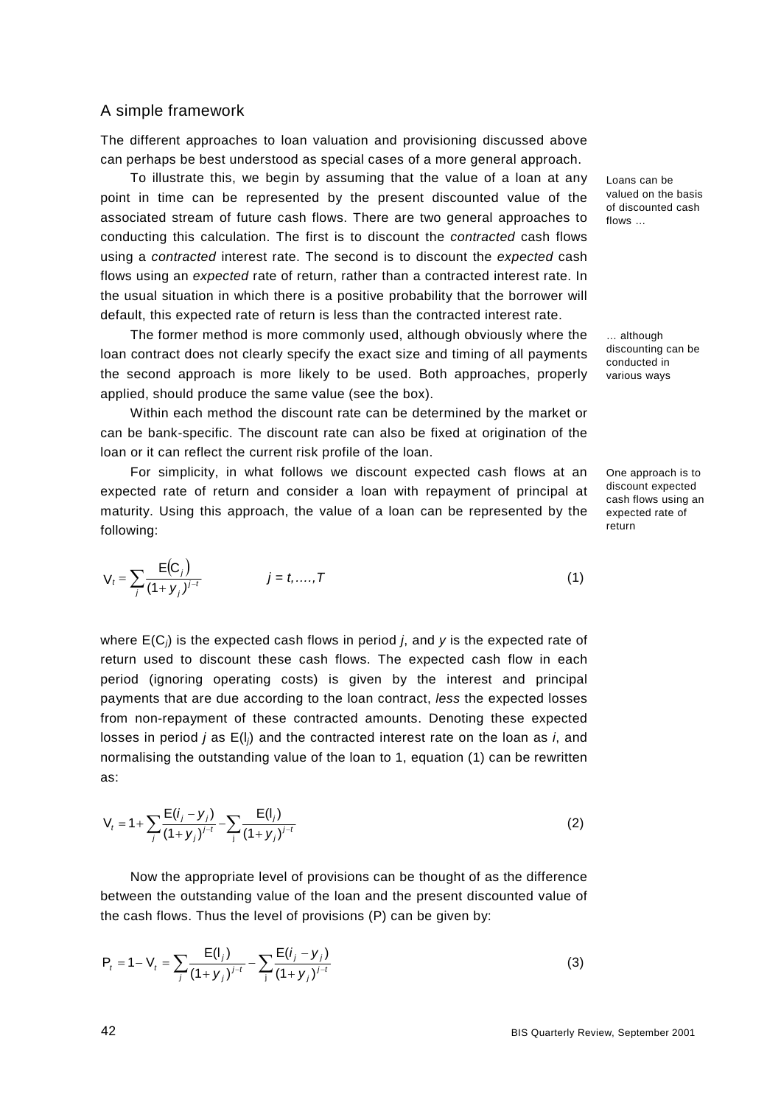## A simple framework

The different approaches to loan valuation and provisioning discussed above can perhaps be best understood as special cases of a more general approach.

To illustrate this, we begin by assuming that the value of a loan at any point in time can be represented by the present discounted value of the associated stream of future cash flows. There are two general approaches to conducting this calculation. The first is to discount the *contracted* cash flows using a *contracted* interest rate. The second is to discount the *expected* cash flows using an *expected* rate of return, rather than a contracted interest rate. In the usual situation in which there is a positive probability that the borrower will default, this expected rate of return is less than the contracted interest rate.

The former method is more commonly used, although obviously where the loan contract does not clearly specify the exact size and timing of all payments the second approach is more likely to be used. Both approaches, properly applied, should produce the same value (see the box).

Within each method the discount rate can be determined by the market or can be bank-specific. The discount rate can also be fixed at origination of the loan or it can reflect the current risk profile of the loan.

For simplicity, in what follows we discount expected cash flows at an expected rate of return and consider a loan with repayment of principal at maturity. Using this approach, the value of a loan can be represented by the following:

$$
V_t = \sum_j \frac{E(C_j)}{(1 + y_j)^{j-t}} \qquad j = t, ..., T
$$
 (1)

where E(C*j*) is the expected cash flows in period *j*, and *y* is the expected rate of return used to discount these cash flows. The expected cash flow in each period (ignoring operating costs) is given by the interest and principal payments that are due according to the loan contract, *less* the expected losses from non-repayment of these contracted amounts. Denoting these expected losses in period *j* as E(l*j*) and the contracted interest rate on the loan as *i*, and normalising the outstanding value of the loan to 1, equation (1) can be rewritten as:

$$
V_{t} = 1 + \sum_{j} \frac{E(i_{j} - y_{j})}{(1 + y_{j})^{j-t}} - \sum_{j} \frac{E(i_{j})}{(1 + y_{j})^{j-t}}
$$
(2)

Now the appropriate level of provisions can be thought of as the difference between the outstanding value of the loan and the present discounted value of the cash flows. Thus the level of provisions (P) can be given by:

$$
P_{t} = 1 - V_{t} = \sum_{j} \frac{E(i_{j})}{(1 + y_{j})^{j-t}} - \sum_{j} \frac{E(i_{j} - y_{j})}{(1 + y_{j})^{j-t}}
$$
(3)

Loans can be valued on the basis of discounted cash flows …

… although discounting can be conducted in various ways

One approach is to discount expected cash flows using an expected rate of return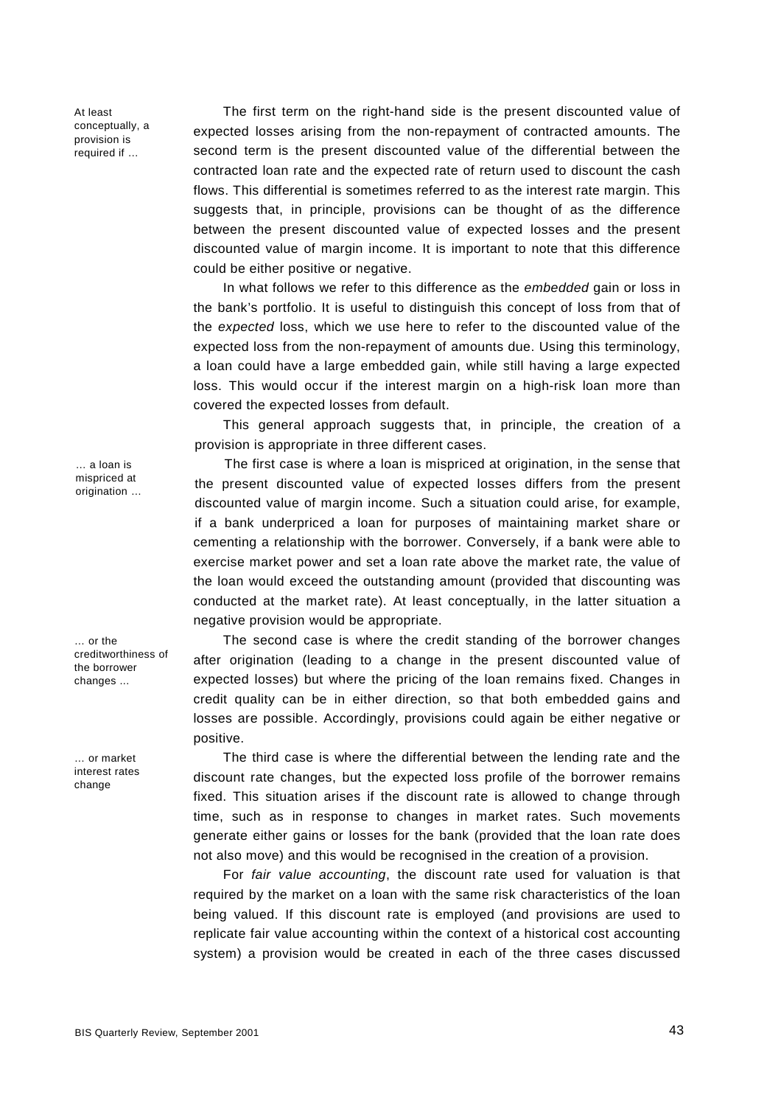At least conceptually, a provision is required if …

The first term on the right-hand side is the present discounted value of expected losses arising from the non-repayment of contracted amounts. The second term is the present discounted value of the differential between the contracted loan rate and the expected rate of return used to discount the cash flows. This differential is sometimes referred to as the interest rate margin. This suggests that, in principle, provisions can be thought of as the difference between the present discounted value of expected losses and the present discounted value of margin income. It is important to note that this difference could be either positive or negative.

In what follows we refer to this difference as the *embedded* gain or loss in the bank's portfolio. It is useful to distinguish this concept of loss from that of the *expected* loss, which we use here to refer to the discounted value of the expected loss from the non-repayment of amounts due. Using this terminology, a loan could have a large embedded gain, while still having a large expected loss. This would occur if the interest margin on a high-risk loan more than covered the expected losses from default.

This general approach suggests that, in principle, the creation of a provision is appropriate in three different cases.

The first case is where a loan is mispriced at origination, in the sense that the present discounted value of expected losses differs from the present discounted value of margin income. Such a situation could arise, for example, if a bank underpriced a loan for purposes of maintaining market share or cementing a relationship with the borrower. Conversely, if a bank were able to exercise market power and set a loan rate above the market rate, the value of the loan would exceed the outstanding amount (provided that discounting was conducted at the market rate). At least conceptually, in the latter situation a negative provision would be appropriate.

The second case is where the credit standing of the borrower changes after origination (leading to a change in the present discounted value of expected losses) but where the pricing of the loan remains fixed. Changes in credit quality can be in either direction, so that both embedded gains and losses are possible. Accordingly, provisions could again be either negative or positive.

The third case is where the differential between the lending rate and the discount rate changes, but the expected loss profile of the borrower remains fixed. This situation arises if the discount rate is allowed to change through time, such as in response to changes in market rates. Such movements generate either gains or losses for the bank (provided that the loan rate does not also move) and this would be recognised in the creation of a provision.

For *fair value accounting*, the discount rate used for valuation is that required by the market on a loan with the same risk characteristics of the loan being valued. If this discount rate is employed (and provisions are used to replicate fair value accounting within the context of a historical cost accounting system) a provision would be created in each of the three cases discussed

… a loan is mispriced at origination ...

… or the creditworthiness of the borrower changes ...

… or market interest rates change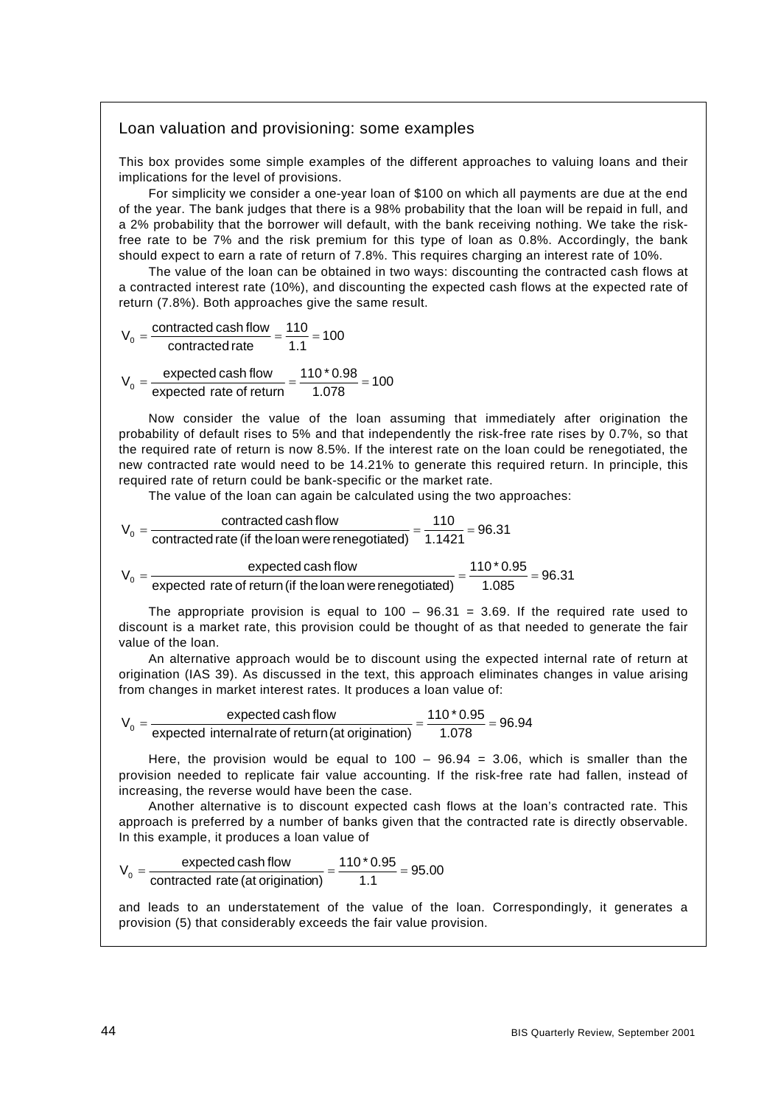## Loan valuation and provisioning: some examples

This box provides some simple examples of the different approaches to valuing loans and their implications for the level of provisions.

For simplicity we consider a one-year loan of \$100 on which all payments are due at the end of the year. The bank judges that there is a 98% probability that the loan will be repaid in full, and a 2% probability that the borrower will default, with the bank receiving nothing. We take the riskfree rate to be 7% and the risk premium for this type of loan as 0.8%. Accordingly, the bank should expect to earn a rate of return of 7.8%. This requires charging an interest rate of 10%.

The value of the loan can be obtained in two ways: discounting the contracted cash flows at a contracted interest rate (10%), and discounting the expected cash flows at the expected rate of return (7.8%). Both approaches give the same result.

$$
V_0 = \frac{\text{contracted cash flow}}{\text{contracted rate}} = \frac{110}{1.1} = 100
$$

$$
V_0 = \frac{\text{expected cash flow}}{\text{expected rate of return}} = \frac{110 \cdot 0.98}{1.078} = 100
$$

Now consider the value of the loan assuming that immediately after origination the probability of default rises to 5% and that independently the risk-free rate rises by 0.7%, so that the required rate of return is now 8.5%. If the interest rate on the loan could be renegotiated, the new contracted rate would need to be 14.21% to generate this required return. In principle, this required rate of return could be bank-specific or the market rate.

The value of the loan can again be calculated using the two approaches:

$$
V_0 = \frac{\text{contracted cash flow}}{\text{contracted rate (if the loan were renegotiated)}} = \frac{110}{1.1421} = 96.31
$$

$$
V_0 = \frac{\text{expected cash flow}}{\text{expected rate of return (if the loan were renegotiated)}} = \frac{110 \cdot 0.95}{1.085} = 96.31
$$

The appropriate provision is equal to  $100 - 96.31 = 3.69$ . If the required rate used to discount is a market rate, this provision could be thought of as that needed to generate the fair value of the loan.

An alternative approach would be to discount using the expected internal rate of return at origination (IAS 39). As discussed in the text, this approach eliminates changes in value arising from changes in market interest rates. It produces a loan value of:

$$
V_0 = \frac{\text{expected cash flow}}{\text{expected internal rate of return (at origination)}} = \frac{110 \times 0.95}{1.078} = 96.94
$$

Here, the provision would be equal to  $100 - 96.94 = 3.06$ , which is smaller than the provision needed to replicate fair value accounting. If the risk-free rate had fallen, instead of increasing, the reverse would have been the case.

Another alternative is to discount expected cash flows at the loan's contracted rate. This approach is preferred by a number of banks given that the contracted rate is directly observable. In this example, it produces a loan value of

$$
V_0 = \frac{\text{expected cash flow}}{\text{contracted rate (at orientation)}} = \frac{110 \cdot 0.95}{1.1} = 95.00
$$

and leads to an understatement of the value of the loan. Correspondingly, it generates a provision (5) that considerably exceeds the fair value provision.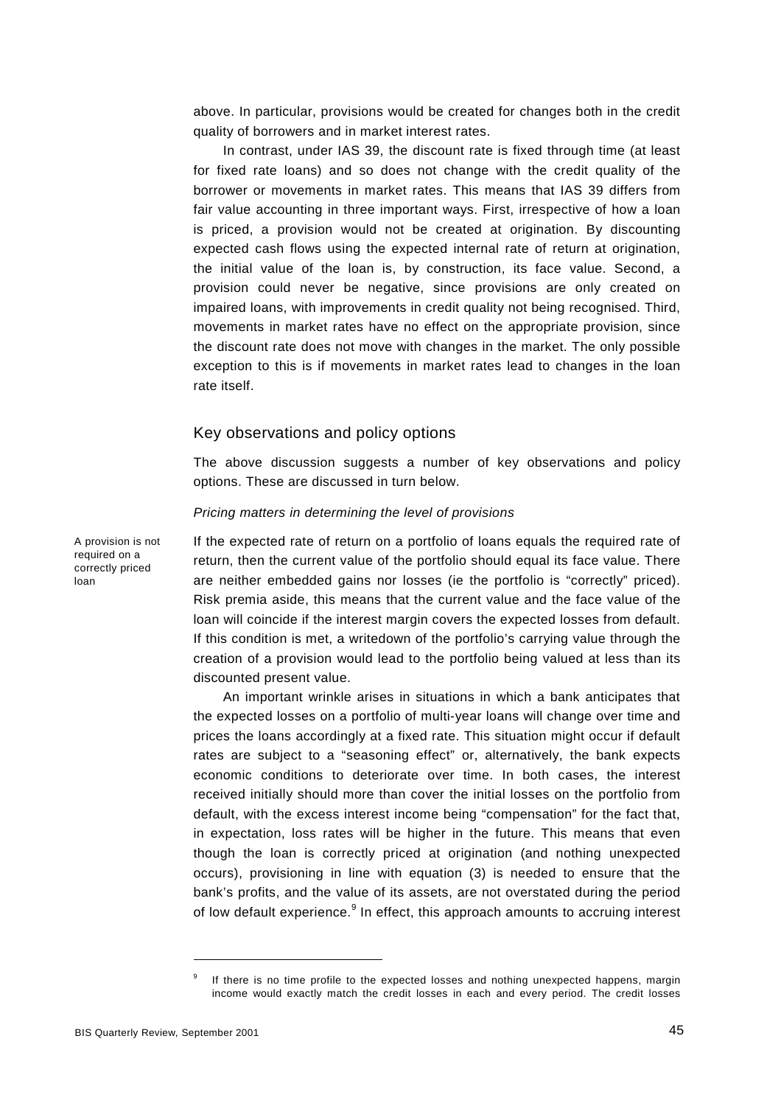above. In particular, provisions would be created for changes both in the credit quality of borrowers and in market interest rates.

In contrast, under IAS 39, the discount rate is fixed through time (at least for fixed rate loans) and so does not change with the credit quality of the borrower or movements in market rates. This means that IAS 39 differs from fair value accounting in three important ways. First, irrespective of how a loan is priced, a provision would not be created at origination. By discounting expected cash flows using the expected internal rate of return at origination, the initial value of the loan is, by construction, its face value. Second, a provision could never be negative, since provisions are only created on impaired loans, with improvements in credit quality not being recognised. Third, movements in market rates have no effect on the appropriate provision, since the discount rate does not move with changes in the market. The only possible exception to this is if movements in market rates lead to changes in the loan rate itself.

## Key observations and policy options

The above discussion suggests a number of key observations and policy options. These are discussed in turn below.

#### *Pricing matters in determining the level of provisions*

If the expected rate of return on a portfolio of loans equals the required rate of return, then the current value of the portfolio should equal its face value. There are neither embedded gains nor losses (ie the portfolio is "correctly" priced). Risk premia aside, this means that the current value and the face value of the loan will coincide if the interest margin covers the expected losses from default. If this condition is met, a writedown of the portfolio's carrying value through the creation of a provision would lead to the portfolio being valued at less than its discounted present value.

An important wrinkle arises in situations in which a bank anticipates that the expected losses on a portfolio of multi-year loans will change over time and prices the loans accordingly at a fixed rate. This situation might occur if default rates are subject to a "seasoning effect" or, alternatively, the bank expects economic conditions to deteriorate over time. In both cases, the interest received initially should more than cover the initial losses on the portfolio from default, with the excess interest income being "compensation" for the fact that, in expectation, loss rates will be higher in the future. This means that even though the loan is correctly priced at origination (and nothing unexpected occurs), provisioning in line with equation (3) is needed to ensure that the bank's profits, and the value of its assets, are not overstated during the period of low default experience.<sup>9</sup> In effect, this approach amounts to accruing interest

A provision is not required on a correctly priced loan

<sup>9</sup> If there is no time profile to the expected losses and nothing unexpected happens, margin income would exactly match the credit losses in each and every period. The credit losses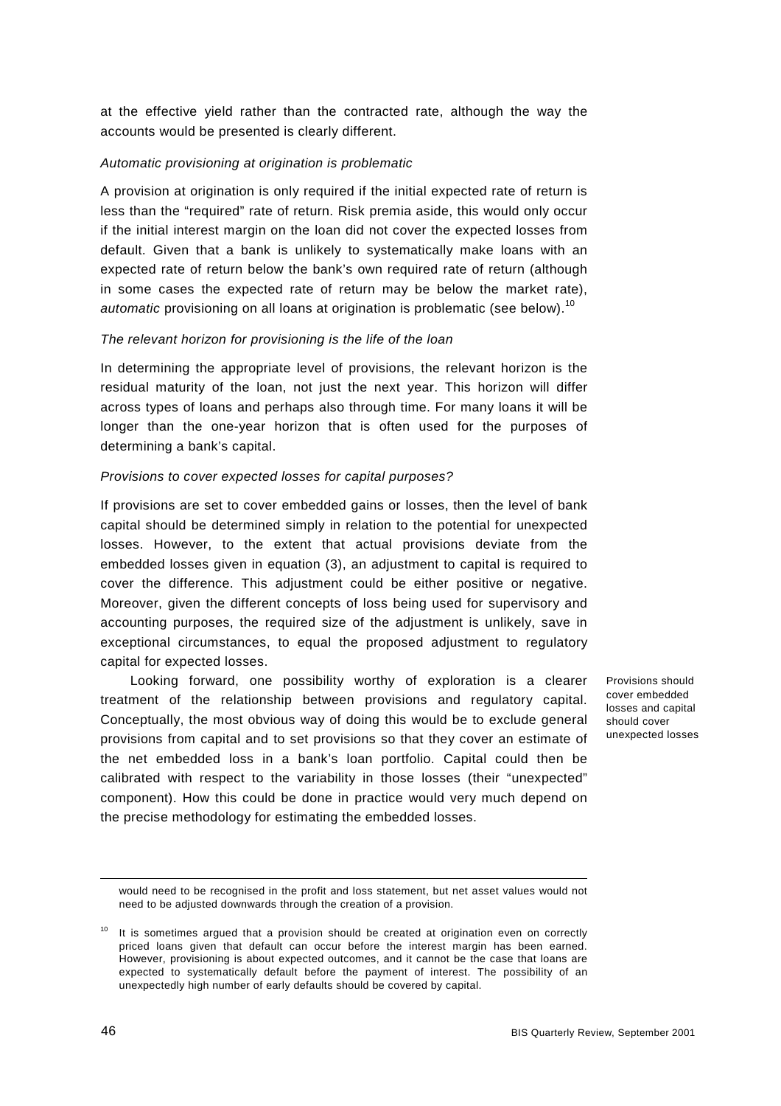at the effective yield rather than the contracted rate, although the way the accounts would be presented is clearly different.

## *Automatic provisioning at origination is problematic*

A provision at origination is only required if the initial expected rate of return is less than the "required" rate of return. Risk premia aside, this would only occur if the initial interest margin on the loan did not cover the expected losses from default. Given that a bank is unlikely to systematically make loans with an expected rate of return below the bank's own required rate of return (although in some cases the expected rate of return may be below the market rate), automatic provisioning on all loans at origination is problematic (see below).<sup>10</sup>

#### *The relevant horizon for provisioning is the life of the loan*

In determining the appropriate level of provisions, the relevant horizon is the residual maturity of the loan, not just the next year. This horizon will differ across types of loans and perhaps also through time. For many loans it will be longer than the one-year horizon that is often used for the purposes of determining a bank's capital.

#### *Provisions to cover expected losses for capital purposes?*

If provisions are set to cover embedded gains or losses, then the level of bank capital should be determined simply in relation to the potential for unexpected losses. However, to the extent that actual provisions deviate from the embedded losses given in equation (3), an adjustment to capital is required to cover the difference. This adjustment could be either positive or negative. Moreover, given the different concepts of loss being used for supervisory and accounting purposes, the required size of the adjustment is unlikely, save in exceptional circumstances, to equal the proposed adjustment to regulatory capital for expected losses.

Looking forward, one possibility worthy of exploration is a clearer treatment of the relationship between provisions and regulatory capital. Conceptually, the most obvious way of doing this would be to exclude general provisions from capital and to set provisions so that they cover an estimate of the net embedded loss in a bank's loan portfolio. Capital could then be calibrated with respect to the variability in those losses (their "unexpected" component). How this could be done in practice would very much depend on the precise methodology for estimating the embedded losses.

Provisions should cover embedded losses and capital should cover unexpected losses

would need to be recognised in the profit and loss statement, but net asset values would not need to be adjusted downwards through the creation of a provision.

It is sometimes argued that a provision should be created at origination even on correctly priced loans given that default can occur before the interest margin has been earned. However, provisioning is about expected outcomes, and it cannot be the case that loans are expected to systematically default before the payment of interest. The possibility of an unexpectedly high number of early defaults should be covered by capital.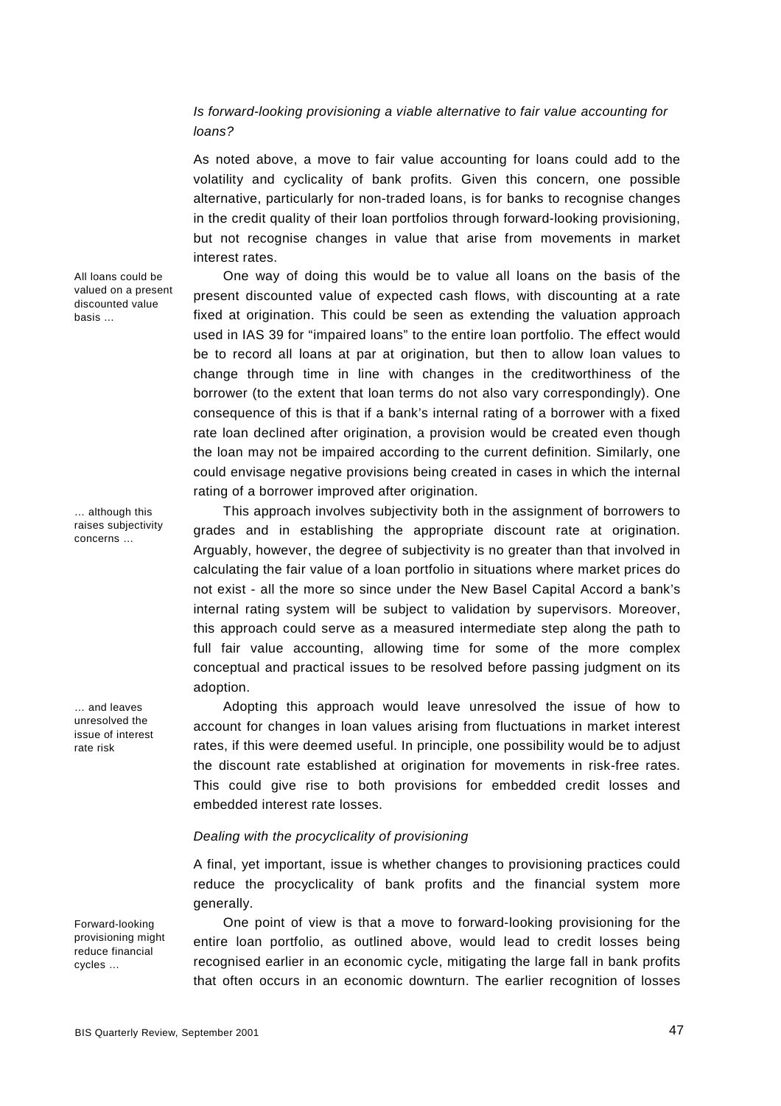## *Is forward-looking provisioning a viable alternative to fair value accounting for loans?*

As noted above, a move to fair value accounting for loans could add to the volatility and cyclicality of bank profits. Given this concern, one possible alternative, particularly for non-traded loans, is for banks to recognise changes in the credit quality of their loan portfolios through forward-looking provisioning, but not recognise changes in value that arise from movements in market interest rates.

One way of doing this would be to value all loans on the basis of the present discounted value of expected cash flows, with discounting at a rate fixed at origination. This could be seen as extending the valuation approach used in IAS 39 for "impaired loans" to the entire loan portfolio. The effect would be to record all loans at par at origination, but then to allow loan values to change through time in line with changes in the creditworthiness of the borrower (to the extent that loan terms do not also vary correspondingly). One consequence of this is that if a bank's internal rating of a borrower with a fixed rate loan declined after origination, a provision would be created even though the loan may not be impaired according to the current definition. Similarly, one could envisage negative provisions being created in cases in which the internal rating of a borrower improved after origination.

This approach involves subjectivity both in the assignment of borrowers to grades and in establishing the appropriate discount rate at origination. Arguably, however, the degree of subjectivity is no greater than that involved in calculating the fair value of a loan portfolio in situations where market prices do not exist - all the more so since under the New Basel Capital Accord a bank's internal rating system will be subject to validation by supervisors. Moreover, this approach could serve as a measured intermediate step along the path to full fair value accounting, allowing time for some of the more complex conceptual and practical issues to be resolved before passing judgment on its adoption.

Adopting this approach would leave unresolved the issue of how to account for changes in loan values arising from fluctuations in market interest rates, if this were deemed useful. In principle, one possibility would be to adjust the discount rate established at origination for movements in risk-free rates. This could give rise to both provisions for embedded credit losses and embedded interest rate losses.

#### *Dealing with the procyclicality of provisioning*

A final, yet important, issue is whether changes to provisioning practices could reduce the procyclicality of bank profits and the financial system more generally.

One point of view is that a move to forward-looking provisioning for the entire loan portfolio, as outlined above, would lead to credit losses being recognised earlier in an economic cycle, mitigating the large fall in bank profits that often occurs in an economic downturn. The earlier recognition of losses

All loans could be valued on a present discounted value basis …

… although this raises subjectivity concerns …

… and leaves unresolved the issue of interest rate risk

Forward-looking provisioning might reduce financial cycles …